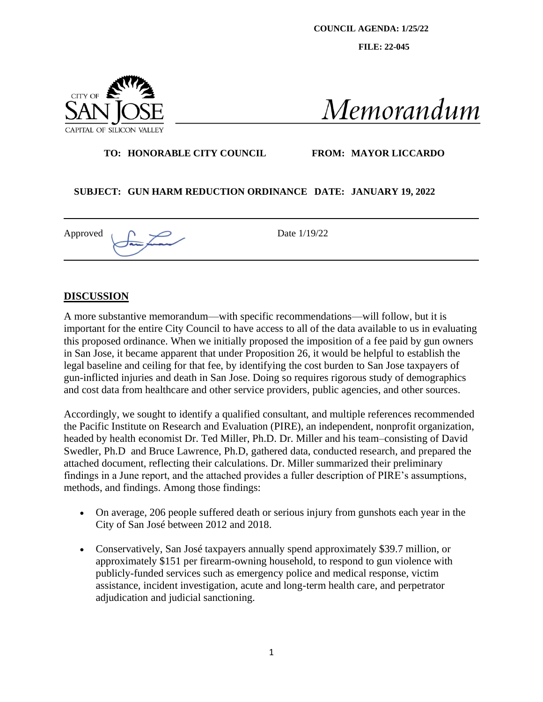**COUNCIL AGENDA: 1/25/22**

**FILE: 22-045**



Memorandum

#### **TO: HONORABLE CITY COUNCIL FROM: MAYOR LICCARDO**

#### **SUBJECT: GUN HARM REDUCTION ORDINANCE DATE: JANUARY 19, 2022**

Approved  $\bigcap$   $\bigcup$  Date 1/19/22

#### **DISCUSSION**

A more substantive memorandum—with specific recommendations—will follow, but it is important for the entire City Council to have access to all of the data available to us in evaluating this proposed ordinance. When we initially proposed the imposition of a fee paid by gun owners in San Jose, it became apparent that under Proposition 26, it would be helpful to establish the legal baseline and ceiling for that fee, by identifying the cost burden to San Jose taxpayers of gun-inflicted injuries and death in San Jose. Doing so requires rigorous study of demographics and cost data from healthcare and other service providers, public agencies, and other sources.

Accordingly, we sought to identify a qualified consultant, and multiple references recommended the Pacific Institute on Research and Evaluation (PIRE), an independent, nonprofit organization, headed by health economist Dr. Ted Miller, Ph.D. Dr. Miller and his team–consisting of David Swedler, Ph.D and Bruce Lawrence, Ph.D, gathered data, conducted research, and prepared the attached document, reflecting their calculations. Dr. Miller summarized their preliminary findings in a June report, and the attached provides a fuller description of PIRE's assumptions, methods, and findings. Among those findings:

- On average, 206 people suffered death or serious injury from gunshots each year in the City of San José between 2012 and 2018.
- Conservatively, San José taxpayers annually spend approximately \$39.7 million, or approximately \$151 per firearm-owning household, to respond to gun violence with publicly-funded services such as emergency police and medical response, victim assistance, incident investigation, acute and long-term health care, and perpetrator adjudication and judicial sanctioning.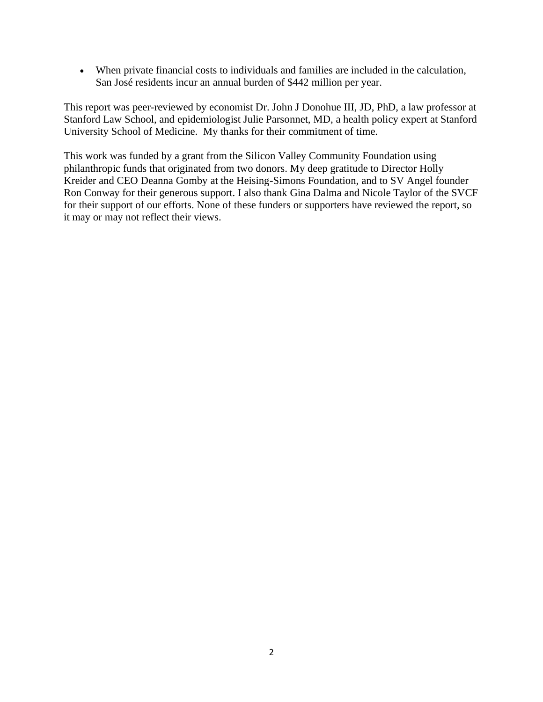• When private financial costs to individuals and families are included in the calculation, San José residents incur an annual burden of \$442 million per year.

This report was peer-reviewed by economist Dr. John J Donohue III, JD, PhD, a law professor at Stanford Law School, and epidemiologist Julie Parsonnet, MD, a health policy expert at Stanford University School of Medicine. My thanks for their commitment of time.

This work was funded by a grant from the Silicon Valley Community Foundation using philanthropic funds that originated from two donors. My deep gratitude to Director Holly Kreider and CEO Deanna Gomby at the Heising-Simons Foundation, and to SV Angel founder Ron Conway for their generous support. I also thank Gina Dalma and Nicole Taylor of the SVCF for their support of our efforts. None of these funders or supporters have reviewed the report, so it may or may not reflect their views.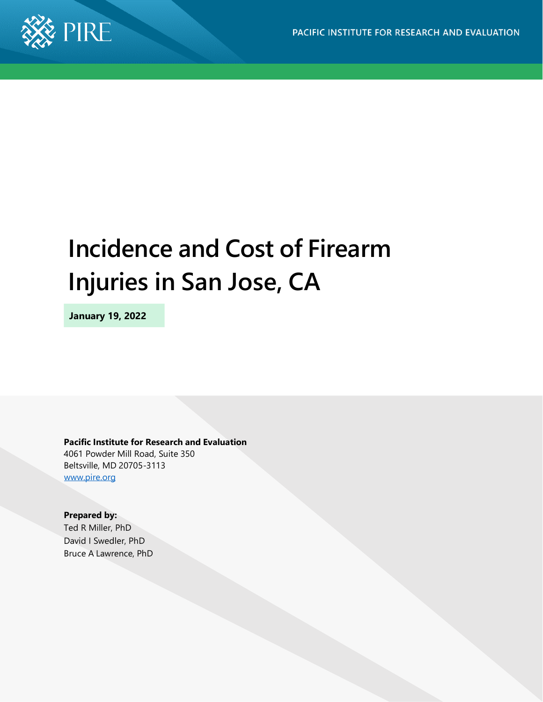

# **Incidence and Cost of Firearm Injuries in San Jose, CA**

**January 19, 2022**

**Pacific Institute for Research and Evaluation**

4061 Powder Mill Road, Suite 350 Beltsville, MD 20705-3113 [www.pire.org](http://www.pire.org/)

#### **Prepared by:**

Ted R Miller, PhD David I Swedler, PhD Bruce A Lawrence, PhD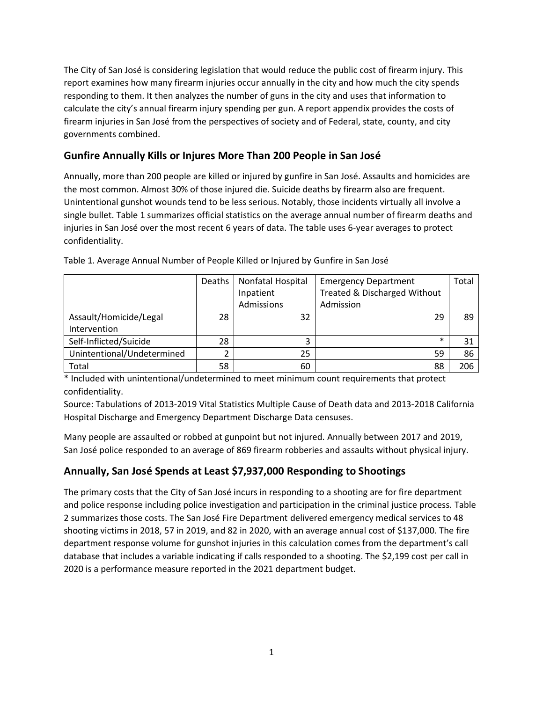The City of San José is considering legislation that would reduce the public cost of firearm injury. This report examines how many firearm injuries occur annually in the city and how much the city spends responding to them. It then analyzes the number of guns in the city and uses that information to calculate the city's annual firearm injury spending per gun. A report appendix provides the costs of firearm injuries in San José from the perspectives of society and of Federal, state, county, and city governments combined.

# **Gunfire Annually Kills or Injures More Than 200 People in San José**

Annually, more than 200 people are killed or injured by gunfire in San José. Assaults and homicides are the most common. Almost 30% of those injured die. Suicide deaths by firearm also are frequent. Unintentional gunshot wounds tend to be less serious. Notably, those incidents virtually all involve a single bullet. Table 1 summarizes official statistics on the average annual number of firearm deaths and injuries in San José over the most recent 6 years of data. The table uses 6-year averages to protect confidentiality.

|                            | Deaths | Nonfatal Hospital<br>Inpatient | <b>Emergency Department</b><br>Treated & Discharged Without | Total |
|----------------------------|--------|--------------------------------|-------------------------------------------------------------|-------|
|                            |        | Admissions                     | Admission                                                   |       |
| Assault/Homicide/Legal     | 28     | 32                             | 29                                                          | 89    |
| Intervention               |        |                                |                                                             |       |
| Self-Inflicted/Suicide     | 28     | 3                              | $\ast$                                                      | 31    |
| Unintentional/Undetermined |        | 25                             | 59                                                          | 86    |
| Total                      | 58     | 60                             | 88                                                          | 206   |

Table 1. Average Annual Number of People Killed or Injured by Gunfire in San José

\* Included with unintentional/undetermined to meet minimum count requirements that protect confidentiality.

Source: Tabulations of 2013-2019 Vital Statistics Multiple Cause of Death data and 2013-2018 California Hospital Discharge and Emergency Department Discharge Data censuses.

Many people are assaulted or robbed at gunpoint but not injured. Annually between 2017 and 2019, San José police responded to an average of 869 firearm robberies and assaults without physical injury.

#### **Annually, San José Spends at Least \$7,937,000 Responding to Shootings**

The primary costs that the City of San José incurs in responding to a shooting are for fire department and police response including police investigation and participation in the criminal justice process. Table 2 summarizes those costs. The San José Fire Department delivered emergency medical services to 48 shooting victims in 2018, 57 in 2019, and 82 in 2020, with an average annual cost of \$137,000. The fire department response volume for gunshot injuries in this calculation comes from the department's call database that includes a variable indicating if calls responded to a shooting. The \$2,199 cost per call in 2020 is a performance measure reported in the 2021 department budget.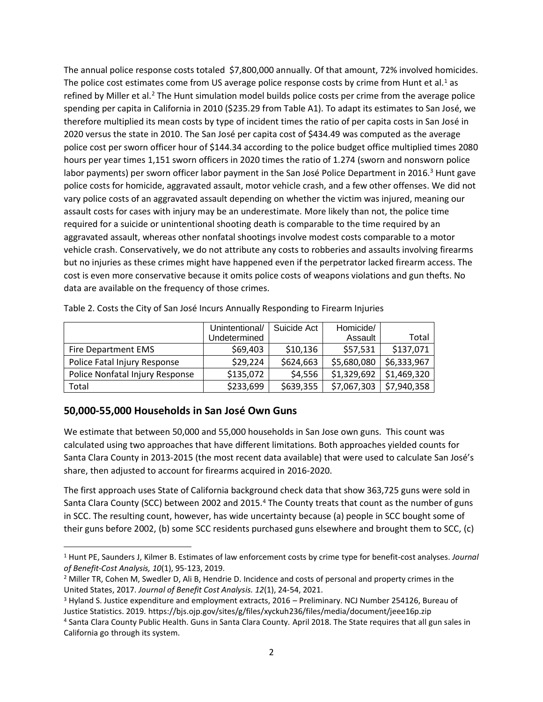The annual police response costs totaled \$7,800,000 annually. Of that amount, 72% involved homicides. The police cost estimates come from US average police response costs by crime from Hunt et al.<sup>1</sup> as refined by Miller et al.<sup>2</sup> The Hunt simulation model builds police costs per crime from the average police spending per capita in California in 2010 (\$235.29 from Table A1). To adapt its estimates to San José, we therefore multiplied its mean costs by type of incident times the ratio of per capita costs in San José in 2020 versus the state in 2010. The San José per capita cost of \$434.49 was computed as the average police cost per sworn officer hour of \$144.34 according to the police budget office multiplied times 2080 hours per year times 1,151 sworn officers in 2020 times the ratio of 1.274 (sworn and nonsworn police labor payments) per sworn officer labor payment in the San José Police Department in 2016.<sup>3</sup> Hunt gave police costs for homicide, aggravated assault, motor vehicle crash, and a few other offenses. We did not vary police costs of an aggravated assault depending on whether the victim was injured, meaning our assault costs for cases with injury may be an underestimate. More likely than not, the police time required for a suicide or unintentional shooting death is comparable to the time required by an aggravated assault, whereas other nonfatal shootings involve modest costs comparable to a motor vehicle crash. Conservatively, we do not attribute any costs to robberies and assaults involving firearms but no injuries as these crimes might have happened even if the perpetrator lacked firearm access. The cost is even more conservative because it omits police costs of weapons violations and gun thefts. No data are available on the frequency of those crimes.

|                                 | Unintentional/ | Suicide Act | Homicide/   |             |
|---------------------------------|----------------|-------------|-------------|-------------|
|                                 | Undetermined   |             | Assault     | Total       |
| Fire Department EMS             | \$69,403       | \$10,136    | \$57,531    | \$137,071   |
| Police Fatal Injury Response    | \$29,224       | \$624,663   | \$5,680,080 | \$6,333,967 |
| Police Nonfatal Injury Response | \$135,072      | \$4,556     | \$1,329,692 | \$1,469,320 |
| Total                           | \$233,699      | \$639,355   | \$7,067,303 | \$7,940,358 |

Table 2. Costs the City of San José Incurs Annually Responding to Firearm Injuries

#### **50,000-55,000 Households in San José Own Guns**

We estimate that between 50,000 and 55,000 households in San Jose own guns. This count was calculated using two approaches that have different limitations. Both approaches yielded counts for Santa Clara County in 2013-2015 (the most recent data available) that were used to calculate San José's share, then adjusted to account for firearms acquired in 2016-2020.

The first approach uses State of California background check data that show 363,725 guns were sold in Santa Clara County (SCC) between 2002 and 2015.<sup>4</sup> The County treats that count as the number of guns in SCC. The resulting count, however, has wide uncertainty because (a) people in SCC bought some of their guns before 2002, (b) some SCC residents purchased guns elsewhere and brought them to SCC, (c)

<sup>1</sup> Hunt PE, Saunders J, Kilmer B. Estimates of law enforcement costs by crime type for benefit-cost analyses. *Journal of Benefit-Cost Analysis, 10*(1), 95-123, 2019.

<sup>2</sup> Miller TR, Cohen M, Swedler D, Ali B, Hendrie D. Incidence and costs of personal and property crimes in the United States, 2017. *Journal of Benefit Cost Analysis. 12*(1), 24-54, 2021.

<sup>3</sup> Hyland S. Justice expenditure and employment extracts, 2016 – Preliminary. NCJ Number 254126, Bureau of Justice Statistics. 2019. https://bjs.ojp.gov/sites/g/files/xyckuh236/files/media/document/jeee16p.zip

<sup>4</sup> Santa Clara County Public Health. Guns in Santa Clara County. April 2018. The State requires that all gun sales in California go through its system.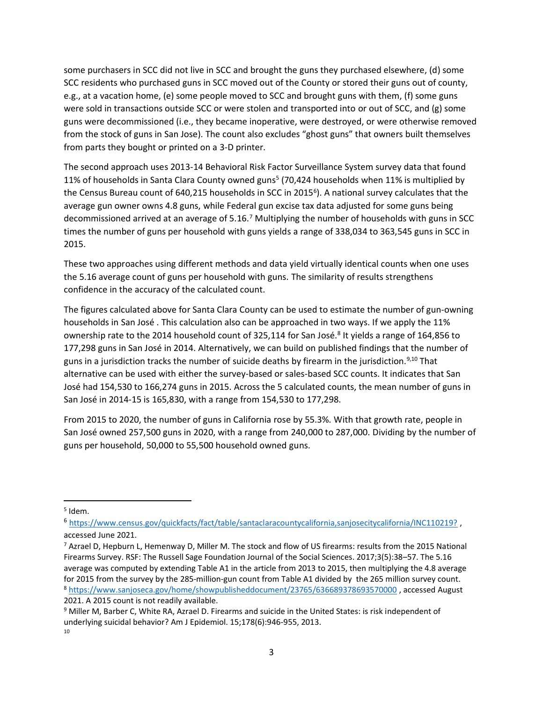some purchasers in SCC did not live in SCC and brought the guns they purchased elsewhere, (d) some SCC residents who purchased guns in SCC moved out of the County or stored their guns out of county, e.g., at a vacation home, (e) some people moved to SCC and brought guns with them, (f) some guns were sold in transactions outside SCC or were stolen and transported into or out of SCC, and (g) some guns were decommissioned (i.e., they became inoperative, were destroyed, or were otherwise removed from the stock of guns in San Jose). The count also excludes "ghost guns" that owners built themselves from parts they bought or printed on a 3-D printer.

The second approach uses 2013-14 Behavioral Risk Factor Surveillance System survey data that found 11% of households in Santa Clara County owned guns<sup>5</sup> (70,424 households when 11% is multiplied by the Census Bureau count of 640,215 households in SCC in 2015<sup>6</sup>). A national survey calculates that the average gun owner owns 4.8 guns, while Federal gun excise tax data adjusted for some guns being decommissioned arrived at an average of 5.16.<sup>7</sup> Multiplying the number of households with guns in SCC times the number of guns per household with guns yields a range of 338,034 to 363,545 guns in SCC in 2015.

These two approaches using different methods and data yield virtually identical counts when one uses the 5.16 average count of guns per household with guns. The similarity of results strengthens confidence in the accuracy of the calculated count.

The figures calculated above for Santa Clara County can be used to estimate the number of gun-owning households in San José . This calculation also can be approached in two ways. If we apply the 11% ownership rate to the 2014 household count of 325,114 for San José.<sup>8</sup> It yields a range of 164,856 to 177,298 guns in San José in 2014. Alternatively, we can build on published findings that the number of guns in a jurisdiction tracks the number of suicide deaths by firearm in the jurisdiction.<sup>9,10</sup> That alternative can be used with either the survey-based or sales-based SCC counts. It indicates that San José had 154,530 to 166,274 guns in 2015. Across the 5 calculated counts, the mean number of guns in San José in 2014-15 is 165,830, with a range from 154,530 to 177,298.

From 2015 to 2020, the number of guns in California rose by 55.3%. With that growth rate, people in San José owned 257,500 guns in 2020, with a range from 240,000 to 287,000. Dividing by the number of guns per household, 50,000 to 55,500 household owned guns.

<sup>5</sup> Idem.

<sup>6</sup> <https://www.census.gov/quickfacts/fact/table/santaclaracountycalifornia,sanjosecitycalifornia/INC110219?> , accessed June 2021.

<sup>7</sup> Azrael D, Hepburn L, Hemenway D, Miller M. The stock and flow of US firearms: results from the 2015 National Firearms Survey. RSF: The Russell Sage Foundation Journal of the Social Sciences. 2017;3(5):38–57. The 5.16 average was computed by extending Table A1 in the article from 2013 to 2015, then multiplying the 4.8 average for 2015 from the survey by the 285-million-gun count from Table A1 divided by the 265 million survey count. <sup>8</sup> <https://www.sanjoseca.gov/home/showpublisheddocument/23765/636689378693570000> , accessed August 2021. A 2015 count is not readily available.

<sup>9</sup> Miller M, Barber C, White RA, Azrael D. Firearms and suicide in the United States: is risk independent of underlying suicidal behavior? Am J Epidemiol. 15;178(6):946-955, 2013. 10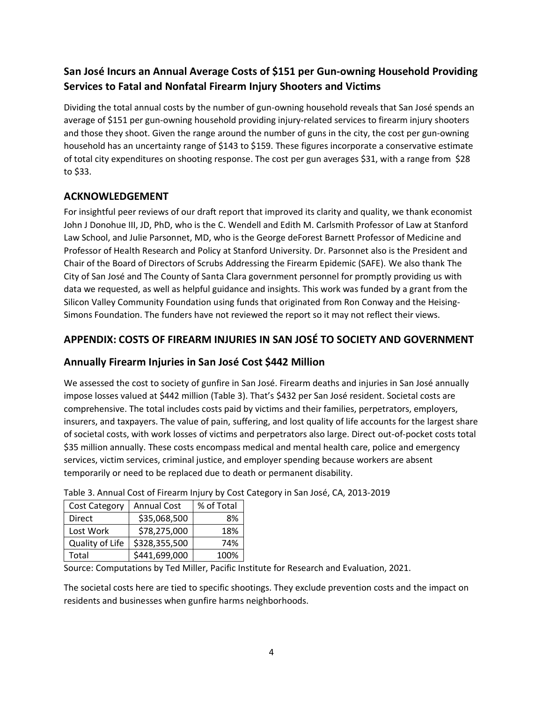# **San José Incurs an Annual Average Costs of \$151 per Gun-owning Household Providing Services to Fatal and Nonfatal Firearm Injury Shooters and Victims**

Dividing the total annual costs by the number of gun-owning household reveals that San José spends an average of \$151 per gun-owning household providing injury-related services to firearm injury shooters and those they shoot. Given the range around the number of guns in the city, the cost per gun-owning household has an uncertainty range of \$143 to \$159. These figures incorporate a conservative estimate of total city expenditures on shooting response. The cost per gun averages \$31, with a range from \$28 to \$33.

## **ACKNOWLEDGEMENT**

For insightful peer reviews of our draft report that improved its clarity and quality, we thank economist John J Donohue III, JD, PhD, who is the C. Wendell and Edith M. Carlsmith Professor of Law at Stanford Law School, and Julie Parsonnet, MD, who is the George deForest Barnett Professor of Medicine and Professor of Health Research and Policy at Stanford University. Dr. Parsonnet also is the President and Chair of the Board of Directors of Scrubs Addressing the Firearm Epidemic (SAFE). We also thank The City of San José and The County of Santa Clara government personnel for promptly providing us with data we requested, as well as helpful guidance and insights. This work was funded by a grant from the Silicon Valley Community Foundation using funds that originated from Ron Conway and the Heising-Simons Foundation. The funders have not reviewed the report so it may not reflect their views.

## **APPENDIX: COSTS OF FIREARM INJURIES IN SAN JOSÉ TO SOCIETY AND GOVERNMENT**

#### **Annually Firearm Injuries in San José Cost \$442 Million**

We assessed the cost to society of gunfire in San José. Firearm deaths and injuries in San José annually impose losses valued at \$442 million (Table 3). That's \$432 per San José resident. Societal costs are comprehensive. The total includes costs paid by victims and their families, perpetrators, employers, insurers, and taxpayers. The value of pain, suffering, and lost quality of life accounts for the largest share of societal costs, with work losses of victims and perpetrators also large. Direct out-of-pocket costs total \$35 million annually. These costs encompass medical and mental health care, police and emergency services, victim services, criminal justice, and employer spending because workers are absent temporarily or need to be replaced due to death or permanent disability.

| <b>Cost Category</b> | <b>Annual Cost</b> | % of Total |
|----------------------|--------------------|------------|
| Direct               | \$35,068,500       | 8%         |
| Lost Work            | \$78,275,000       | 18%        |
| Quality of Life      | \$328,355,500      | 74%        |
| Total                | \$441,699,000      | 100%       |

Table 3. Annual Cost of Firearm Injury by Cost Category in San José, CA, 2013-2019

Source: Computations by Ted Miller, Pacific Institute for Research and Evaluation, 2021.

The societal costs here are tied to specific shootings. They exclude prevention costs and the impact on residents and businesses when gunfire harms neighborhoods.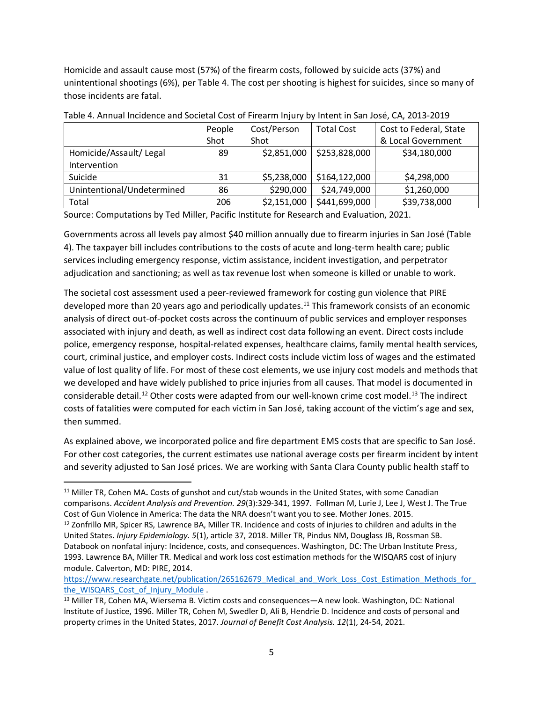Homicide and assault cause most (57%) of the firearm costs, followed by suicide acts (37%) and unintentional shootings (6%), per Table 4. The cost per shooting is highest for suicides, since so many of those incidents are fatal.

|                            | People | Cost/Person | <b>Total Cost</b> | Cost to Federal, State |
|----------------------------|--------|-------------|-------------------|------------------------|
|                            | Shot   | Shot        |                   | & Local Government     |
| Homicide/Assault/ Legal    | 89     | \$2,851,000 | \$253,828,000     | \$34,180,000           |
| Intervention               |        |             |                   |                        |
| Suicide                    | 31     | \$5,238,000 | \$164,122,000     | \$4,298,000            |
| Unintentional/Undetermined | 86     | \$290,000   | \$24,749,000      | \$1,260,000            |
| Total                      | 206    | \$2,151,000 | \$441,699,000     | \$39,738,000           |

Table 4. Annual Incidence and Societal Cost of Firearm Injury by Intent in San José, CA, 2013-2019

Source: Computations by Ted Miller, Pacific Institute for Research and Evaluation, 2021.

Governments across all levels pay almost \$40 million annually due to firearm injuries in San José (Table 4). The taxpayer bill includes contributions to the costs of acute and long-term health care; public services including emergency response, victim assistance, incident investigation, and perpetrator adjudication and sanctioning; as well as tax revenue lost when someone is killed or unable to work.

The societal cost assessment used a peer-reviewed framework for costing gun violence that PIRE developed more than 20 years ago and periodically updates.<sup>11</sup> This framework consists of an economic analysis of direct out-of-pocket costs across the continuum of public services and employer responses associated with injury and death, as well as indirect cost data following an event. Direct costs include police, emergency response, hospital-related expenses, healthcare claims, family mental health services, court, criminal justice, and employer costs. Indirect costs include victim loss of wages and the estimated value of lost quality of life. For most of these cost elements, we use injury cost models and methods that we developed and have widely published to price injuries from all causes. That model is documented in considerable detail.<sup>12</sup> Other costs were adapted from our well-known crime cost model.<sup>13</sup> The indirect costs of fatalities were computed for each victim in San José, taking account of the victim's age and sex, then summed.

As explained above, we incorporated police and fire department EMS costs that are specific to San José. For other cost categories, the current estimates use national average costs per firearm incident by intent and severity adjusted to San José prices. We are working with Santa Clara County public health staff to

https://www.researchgate.net/publication/265162679\_Medical\_and\_Work\_Loss\_Cost\_Estimation\_Methods\_for [the\\_WISQARS\\_Cost\\_of\\_Injury\\_Module](https://www.researchgate.net/publication/265162679_Medical_and_Work_Loss_Cost_Estimation_Methods_for_the_WISQARS_Cost_of_Injury_Module) .

<sup>11</sup> Miller TR, Cohen MA**.** Costs of gunshot and cut/stab wounds in the United States, with some Canadian comparisons. *Accident Analysis and Prevention. 29*(3):329-341, 1997. Follman M, Lurie J, Lee J, West J. The True Cost of Gun Violence in America: The data the NRA doesn't want you to see. Mother Jones. 2015.

<sup>12</sup> Zonfrillo MR, Spicer RS, Lawrence BA, Miller TR. Incidence and costs of injuries to children and adults in the United States. *Injury Epidemiology. 5*(1), article 37, 2018. Miller TR, Pindus NM, Douglass JB, Rossman SB. Databook on nonfatal injury: Incidence, costs, and consequences. Washington, DC: The Urban Institute Press, 1993. Lawrence BA, Miller TR. Medical and work loss cost estimation methods for the WISQARS cost of injury module. Calverton, MD: PIRE, 2014.

<sup>13</sup> Miller TR, Cohen MA, Wiersema B. Victim costs and consequences—A new look. Washington, DC: National Institute of Justice, 1996. Miller TR, Cohen M, Swedler D, Ali B, Hendrie D. Incidence and costs of personal and property crimes in the United States, 2017. *Journal of Benefit Cost Analysis. 12*(1), 24-54, 2021.